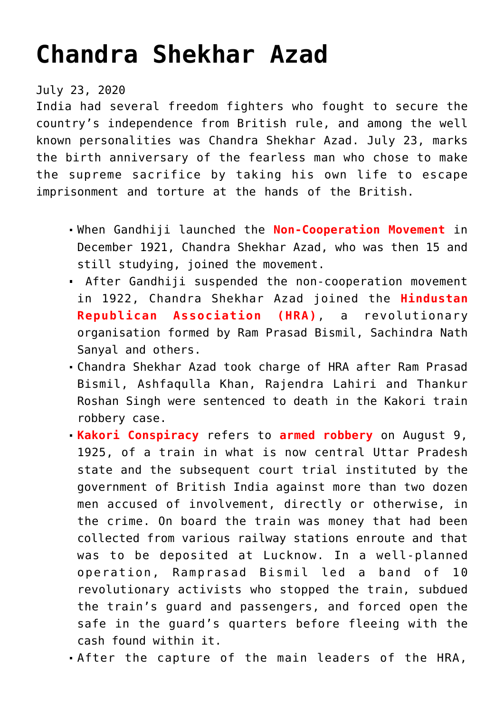## **[Chandra Shekhar Azad](https://journalsofindia.com/chandra-shekhar-azad/)**

July 23, 2020

India had several freedom fighters who fought to secure the country's independence from British rule, and among the well known personalities was Chandra Shekhar Azad. July 23, marks the birth anniversary of the fearless man who chose to make the supreme sacrifice by taking his own life to escape imprisonment and torture at the hands of the British.

- When Gandhiji launched the **Non-Cooperation Movement** in December 1921, Chandra Shekhar Azad, who was then 15 and still studying, joined the movement.
- After Gandhiji suspended the non-cooperation movement in 1922, Chandra Shekhar Azad joined the **Hindustan Republican Association (HRA)**, a revolutionary organisation formed by Ram Prasad Bismil, Sachindra Nath Sanyal and others.
- Chandra Shekhar Azad took charge of HRA after Ram Prasad Bismil, Ashfaqulla Khan, Rajendra Lahiri and Thankur Roshan Singh were sentenced to death in the Kakori train robbery case.
- **Kakori Conspiracy** refers to **armed robbery** on August 9, 1925, of a train in what is now central Uttar Pradesh state and the subsequent court trial instituted by the government of British India against more than two dozen men accused of involvement, directly or otherwise, in the crime. On board the train was money that had been collected from various railway stations enroute and that was to be deposited at Lucknow. In a well-planned operation, Ramprasad Bismil led a band of 10 revolutionary activists who stopped the train, subdued the train's guard and passengers, and forced open the safe in the guard's quarters before fleeing with the cash found within it.
- After the capture of the main leaders of the HRA,